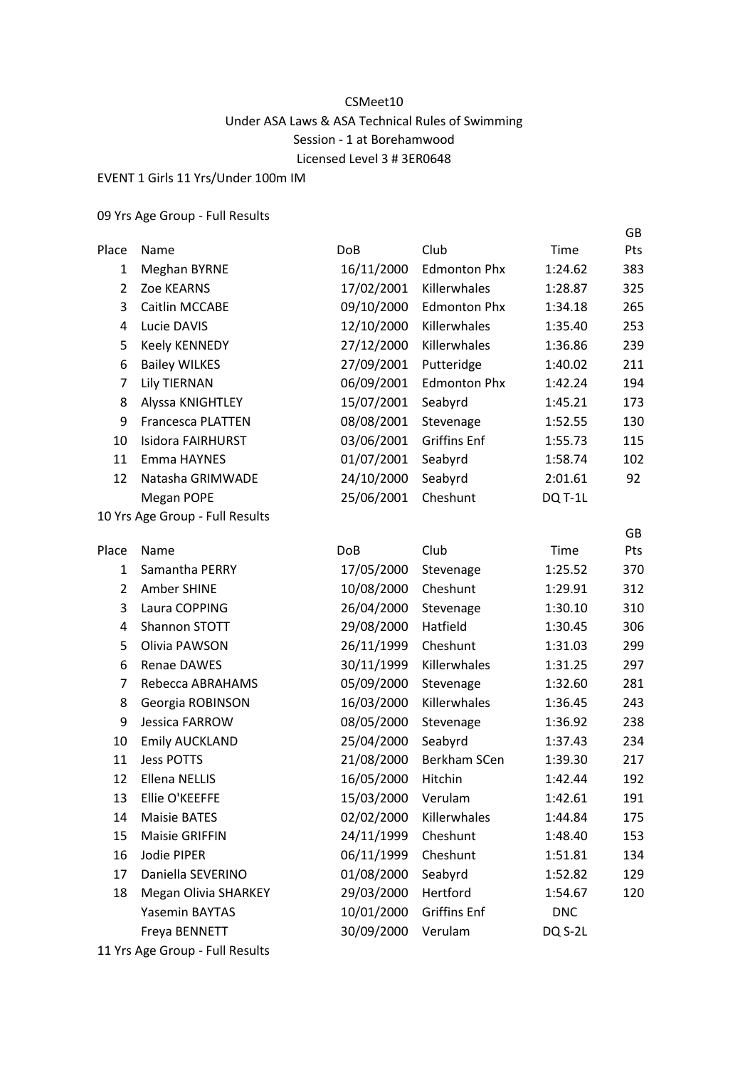## CSMeet10 Under ASA Laws & ASA Technical Rules of Swimming Session - 1 at Borehamwood Licensed Level 3 # 3ER0648

EVENT 1 Girls 11 Yrs/Under 100m IM

09 Yrs Age Group - Full Results

|                |                                 |            |                     |            | GB  |
|----------------|---------------------------------|------------|---------------------|------------|-----|
| Place          | Name                            | <b>DoB</b> | Club                | Time       | Pts |
| 1              | <b>Meghan BYRNE</b>             | 16/11/2000 | <b>Edmonton Phx</b> | 1:24.62    | 383 |
| 2              | Zoe KEARNS                      | 17/02/2001 | Killerwhales        | 1:28.87    | 325 |
| 3              | Caitlin MCCABE                  | 09/10/2000 | <b>Edmonton Phx</b> | 1:34.18    | 265 |
| 4              | Lucie DAVIS                     | 12/10/2000 | Killerwhales        | 1:35.40    | 253 |
| 5              | Keely KENNEDY                   | 27/12/2000 | Killerwhales        | 1:36.86    | 239 |
| 6              | <b>Bailey WILKES</b>            | 27/09/2001 | Putteridge          | 1:40.02    | 211 |
| $\overline{7}$ | <b>Lily TIERNAN</b>             | 06/09/2001 | <b>Edmonton Phx</b> | 1:42.24    | 194 |
| 8              | Alyssa KNIGHTLEY                | 15/07/2001 | Seabyrd             | 1:45.21    | 173 |
| 9              | <b>Francesca PLATTEN</b>        | 08/08/2001 | Stevenage           | 1:52.55    | 130 |
| 10             | Isidora FAIRHURST               | 03/06/2001 | <b>Griffins Enf</b> | 1:55.73    | 115 |
| 11             | Emma HAYNES                     | 01/07/2001 | Seabyrd             | 1:58.74    | 102 |
| 12             | Natasha GRIMWADE                | 24/10/2000 | Seabyrd             | 2:01.61    | 92  |
|                | Megan POPE                      | 25/06/2001 | Cheshunt            | DQ T-1L    |     |
|                | 10 Yrs Age Group - Full Results |            |                     |            |     |
|                |                                 |            |                     |            | GB  |
| Place          | Name                            | <b>DoB</b> | Club                | Time       | Pts |
| 1              | Samantha PERRY                  | 17/05/2000 | Stevenage           | 1:25.52    | 370 |
| $\overline{2}$ | Amber SHINE                     | 10/08/2000 | Cheshunt            | 1:29.91    | 312 |
| 3              | Laura COPPING                   | 26/04/2000 | Stevenage           | 1:30.10    | 310 |
| 4              | Shannon STOTT                   | 29/08/2000 | Hatfield            | 1:30.45    | 306 |
| 5              | Olivia PAWSON                   | 26/11/1999 | Cheshunt            | 1:31.03    | 299 |
| 6              | Renae DAWES                     | 30/11/1999 | Killerwhales        | 1:31.25    | 297 |
| $\overline{7}$ | Rebecca ABRAHAMS                | 05/09/2000 | Stevenage           | 1:32.60    | 281 |
| 8              | Georgia ROBINSON                | 16/03/2000 | Killerwhales        | 1:36.45    | 243 |
| 9              | Jessica FARROW                  | 08/05/2000 | Stevenage           | 1:36.92    | 238 |
| 10             | <b>Emily AUCKLAND</b>           | 25/04/2000 | Seabyrd             | 1:37.43    | 234 |
| 11             | <b>Jess POTTS</b>               | 21/08/2000 | Berkham SCen        | 1:39.30    | 217 |
| 12             | <b>Ellena NELLIS</b>            | 16/05/2000 | Hitchin             | 1:42.44    | 192 |
| 13             | Ellie O'KEEFFE                  | 15/03/2000 | Verulam             | 1:42.61    | 191 |
| 14             | <b>Maisie BATES</b>             | 02/02/2000 | Killerwhales        | 1:44.84    | 175 |
| 15             | <b>Maisie GRIFFIN</b>           | 24/11/1999 | Cheshunt            | 1:48.40    | 153 |
| 16             | Jodie PIPER                     | 06/11/1999 | Cheshunt            | 1:51.81    | 134 |
| 17             | Daniella SEVERINO               | 01/08/2000 | Seabyrd             | 1:52.82    | 129 |
| 18             | <b>Megan Olivia SHARKEY</b>     | 29/03/2000 | Hertford            | 1:54.67    | 120 |
|                | Yasemin BAYTAS                  | 10/01/2000 | <b>Griffins Enf</b> | <b>DNC</b> |     |
|                | Freya BENNETT                   | 30/09/2000 | Verulam             | DQ S-2L    |     |
|                |                                 |            |                     |            |     |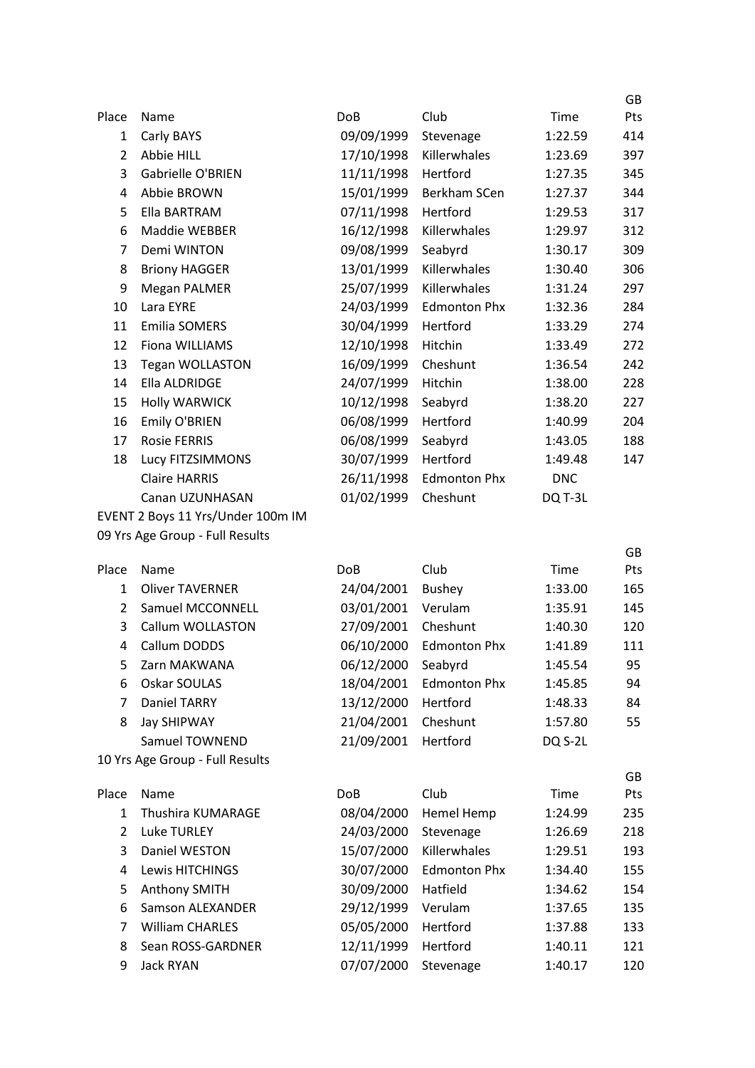|                       |                                   |            |                     |            | GB         |
|-----------------------|-----------------------------------|------------|---------------------|------------|------------|
| Place                 | Name                              | <b>DoB</b> | Club                | Time       | Pts        |
| $\mathbf{1}$          | Carly BAYS                        | 09/09/1999 | Stevenage           | 1:22.59    | 414        |
| $\overline{2}$        | Abbie HILL                        | 17/10/1998 | Killerwhales        | 1:23.69    | 397        |
| 3                     | <b>Gabrielle O'BRIEN</b>          | 11/11/1998 | Hertford            | 1:27.35    | 345        |
| 4                     | Abbie BROWN                       | 15/01/1999 | Berkham SCen        | 1:27.37    | 344        |
| 5                     | Ella BARTRAM                      | 07/11/1998 | Hertford            | 1:29.53    | 317        |
| 6                     | Maddie WEBBER                     | 16/12/1998 | Killerwhales        | 1:29.97    | 312        |
| $\overline{7}$        | Demi WINTON                       | 09/08/1999 | Seabyrd             | 1:30.17    | 309        |
| 8                     | <b>Briony HAGGER</b>              | 13/01/1999 | Killerwhales        | 1:30.40    | 306        |
| 9                     | <b>Megan PALMER</b>               | 25/07/1999 | Killerwhales        | 1:31.24    | 297        |
| 10                    | Lara EYRE                         | 24/03/1999 | <b>Edmonton Phx</b> | 1:32.36    | 284        |
| 11                    | <b>Emilia SOMERS</b>              | 30/04/1999 | Hertford            | 1:33.29    | 274        |
| 12                    | Fiona WILLIAMS                    | 12/10/1998 | Hitchin             | 1:33.49    | 272        |
| 13                    | <b>Tegan WOLLASTON</b>            | 16/09/1999 | Cheshunt            | 1:36.54    | 242        |
| 14                    | Ella ALDRIDGE                     | 24/07/1999 | Hitchin             | 1:38.00    | 228        |
| 15                    | <b>Holly WARWICK</b>              | 10/12/1998 | Seabyrd             | 1:38.20    | 227        |
| 16                    | Emily O'BRIEN                     | 06/08/1999 | Hertford            | 1:40.99    | 204        |
| 17                    | <b>Rosie FERRIS</b>               | 06/08/1999 | Seabyrd             | 1:43.05    | 188        |
| 18                    | Lucy FITZSIMMONS                  | 30/07/1999 | Hertford            | 1:49.48    | 147        |
|                       | <b>Claire HARRIS</b>              | 26/11/1998 | <b>Edmonton Phx</b> | <b>DNC</b> |            |
|                       | Canan UZUNHASAN                   | 01/02/1999 | Cheshunt            | DQ T-3L    |            |
|                       | EVENT 2 Boys 11 Yrs/Under 100m IM |            |                     |            |            |
|                       | 09 Yrs Age Group - Full Results   |            |                     |            |            |
|                       | Name                              | DoB        | Club                | Time       | <b>GB</b>  |
| Place<br>$\mathbf{1}$ | <b>Oliver TAVERNER</b>            | 24/04/2001 | <b>Bushey</b>       | 1:33.00    | Pts<br>165 |
| $\overline{2}$        | <b>Samuel MCCONNELL</b>           | 03/01/2001 | Verulam             | 1:35.91    | 145        |
| 3                     | Callum WOLLASTON                  | 27/09/2001 | Cheshunt            | 1:40.30    | 120        |
| 4                     | Callum DODDS                      | 06/10/2000 | <b>Edmonton Phx</b> | 1:41.89    | 111        |
| 5                     | Zarn MAKWANA                      | 06/12/2000 | Seabyrd             | 1:45.54    | 95         |
| 6                     | Oskar SOULAS                      | 18/04/2001 | <b>Edmonton Phx</b> | 1:45.85    | 94         |
| 7                     | Daniel TARRY                      | 13/12/2000 | Hertford            | 1:48.33    | 84         |
| 8                     | Jay SHIPWAY                       | 21/04/2001 | Cheshunt            | 1:57.80    | 55         |
|                       | Samuel TOWNEND                    | 21/09/2001 | Hertford            | DQ S-2L    |            |
|                       | 10 Yrs Age Group - Full Results   |            |                     |            |            |
|                       |                                   |            |                     |            | GB         |
| Place                 | Name                              | <b>DoB</b> | Club                | Time       | Pts        |
| 1                     | Thushira KUMARAGE                 | 08/04/2000 | Hemel Hemp          | 1:24.99    | 235        |
| $\overline{2}$        | <b>Luke TURLEY</b>                | 24/03/2000 | Stevenage           | 1:26.69    | 218        |
| 3                     | Daniel WESTON                     | 15/07/2000 | Killerwhales        | 1:29.51    | 193        |
| 4                     | Lewis HITCHINGS                   | 30/07/2000 | <b>Edmonton Phx</b> | 1:34.40    | 155        |
| 5                     | Anthony SMITH                     | 30/09/2000 | Hatfield            | 1:34.62    | 154        |
| 6                     | Samson ALEXANDER                  | 29/12/1999 | Verulam             | 1:37.65    | 135        |
| 7                     | <b>William CHARLES</b>            | 05/05/2000 | Hertford            | 1:37.88    | 133        |
| 8                     | Sean ROSS-GARDNER                 | 12/11/1999 | Hertford            | 1:40.11    | 121        |
| 9                     | Jack RYAN                         | 07/07/2000 | Stevenage           | 1:40.17    | 120        |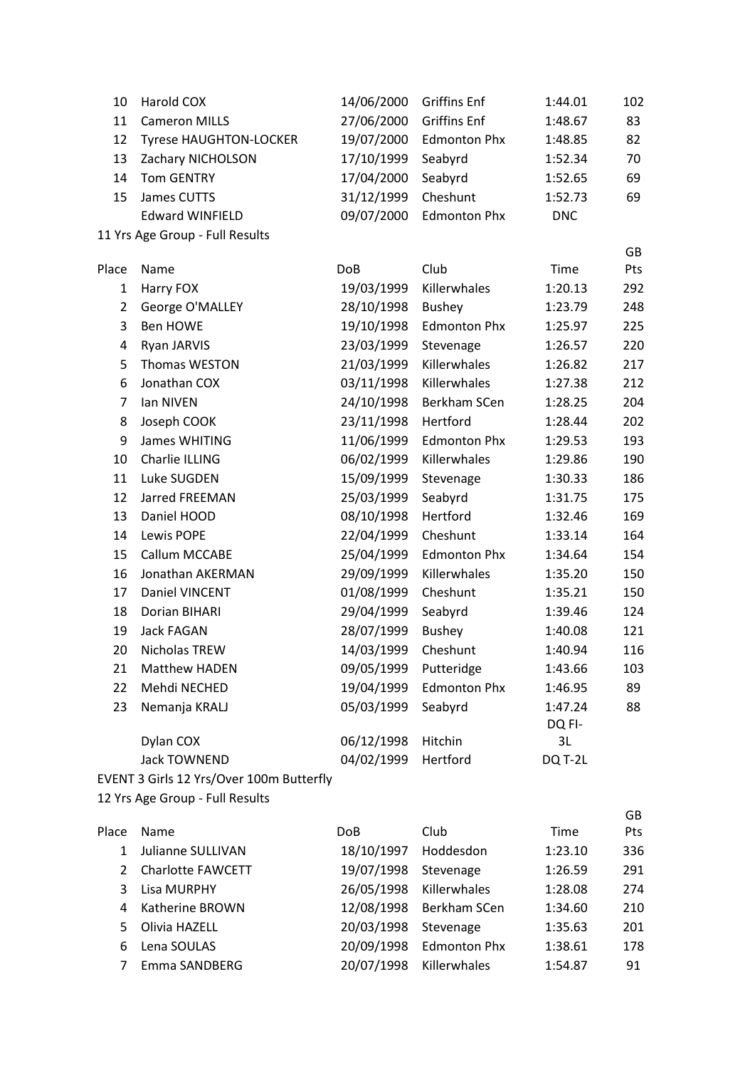| 10             | Harold COX                               | 14/06/2000 | <b>Griffins Enf</b> | 1:44.01    | 102 |
|----------------|------------------------------------------|------------|---------------------|------------|-----|
| 11             | <b>Cameron MILLS</b>                     | 27/06/2000 | <b>Griffins Enf</b> | 1:48.67    | 83  |
| 12             | <b>Tyrese HAUGHTON-LOCKER</b>            | 19/07/2000 | <b>Edmonton Phx</b> | 1:48.85    | 82  |
| 13             | Zachary NICHOLSON                        | 17/10/1999 | Seabyrd             | 1:52.34    | 70  |
| 14             | <b>Tom GENTRY</b>                        | 17/04/2000 | Seabyrd             | 1:52.65    | 69  |
| 15             | James CUTTS                              | 31/12/1999 | Cheshunt            | 1:52.73    | 69  |
|                | <b>Edward WINFIELD</b>                   | 09/07/2000 | <b>Edmonton Phx</b> | <b>DNC</b> |     |
|                | 11 Yrs Age Group - Full Results          |            |                     |            |     |
|                |                                          |            |                     |            | GB  |
| Place          | Name                                     | <b>DoB</b> | Club                | Time       | Pts |
| 1              | Harry FOX                                | 19/03/1999 | Killerwhales        | 1:20.13    | 292 |
| $\overline{2}$ | George O'MALLEY                          | 28/10/1998 | <b>Bushey</b>       | 1:23.79    | 248 |
| 3              | <b>Ben HOWE</b>                          | 19/10/1998 | <b>Edmonton Phx</b> | 1:25.97    | 225 |
| 4              | Ryan JARVIS                              | 23/03/1999 | Stevenage           | 1:26.57    | 220 |
| 5              | Thomas WESTON                            | 21/03/1999 | Killerwhales        | 1:26.82    | 217 |
| 6              | Jonathan COX                             | 03/11/1998 | Killerwhales        | 1:27.38    | 212 |
| $\overline{7}$ | Ian NIVEN                                | 24/10/1998 | Berkham SCen        | 1:28.25    | 204 |
| 8              | Joseph COOK                              | 23/11/1998 | Hertford            | 1:28.44    | 202 |
| 9              | James WHITING                            | 11/06/1999 | <b>Edmonton Phx</b> | 1:29.53    | 193 |
| 10             | Charlie ILLING                           | 06/02/1999 | Killerwhales        | 1:29.86    | 190 |
| 11             | Luke SUGDEN                              | 15/09/1999 | Stevenage           | 1:30.33    | 186 |
| 12             | Jarred FREEMAN                           | 25/03/1999 | Seabyrd             | 1:31.75    | 175 |
| 13             | Daniel HOOD                              | 08/10/1998 | Hertford            | 1:32.46    | 169 |
| 14             | Lewis POPE                               | 22/04/1999 | Cheshunt            | 1:33.14    | 164 |
| 15             | Callum MCCABE                            | 25/04/1999 | <b>Edmonton Phx</b> | 1:34.64    | 154 |
| 16             | Jonathan AKERMAN                         | 29/09/1999 | Killerwhales        | 1:35.20    | 150 |
| 17             | Daniel VINCENT                           | 01/08/1999 | Cheshunt            | 1:35.21    | 150 |
| 18             | Dorian BIHARI                            | 29/04/1999 | Seabyrd             | 1:39.46    | 124 |
| 19             | Jack FAGAN                               | 28/07/1999 | <b>Bushey</b>       | 1:40.08    | 121 |
| 20             | Nicholas TREW                            | 14/03/1999 | Cheshunt            | 1:40.94    | 116 |
| 21             | Matthew HADEN                            | 09/05/1999 | Putteridge          | 1:43.66    | 103 |
| 22             | Mehdi NECHED                             | 19/04/1999 | <b>Edmonton Phx</b> | 1:46.95    | 89  |
| 23             | Nemanja KRALJ                            | 05/03/1999 | Seabyrd             | 1:47.24    | 88  |
|                |                                          |            |                     | DQ FI-     |     |
|                | Dylan COX                                | 06/12/1998 | Hitchin             | 3L         |     |
|                | <b>Jack TOWNEND</b>                      | 04/02/1999 | Hertford            | DQ T-2L    |     |
|                | EVENT 3 Girls 12 Yrs/Over 100m Butterfly |            |                     |            |     |

|               |                          |            |                     |         | GB. |
|---------------|--------------------------|------------|---------------------|---------|-----|
| Place         | <b>Name</b>              | <b>DoB</b> | <b>Club</b>         | Time    | Pts |
|               | Julianne SULLIVAN        | 18/10/1997 | Hoddesdon           | 1:23.10 | 336 |
| $\mathcal{P}$ | <b>Charlotte FAWCETT</b> | 19/07/1998 | Stevenage           | 1:26.59 | 291 |
| 3             | Lisa MURPHY              | 26/05/1998 | Killerwhales        | 1:28.08 | 274 |
| 4             | Katherine BROWN          | 12/08/1998 | Berkham SCen        | 1:34.60 | 210 |
| 5.            | Olivia HAZELL            | 20/03/1998 | Stevenage           | 1:35.63 | 201 |
| 6             | Lena SOULAS              | 20/09/1998 | <b>Edmonton Phx</b> | 1:38.61 | 178 |
|               | Emma SANDBERG            | 20/07/1998 | Killerwhales        | 1:54.87 | 91  |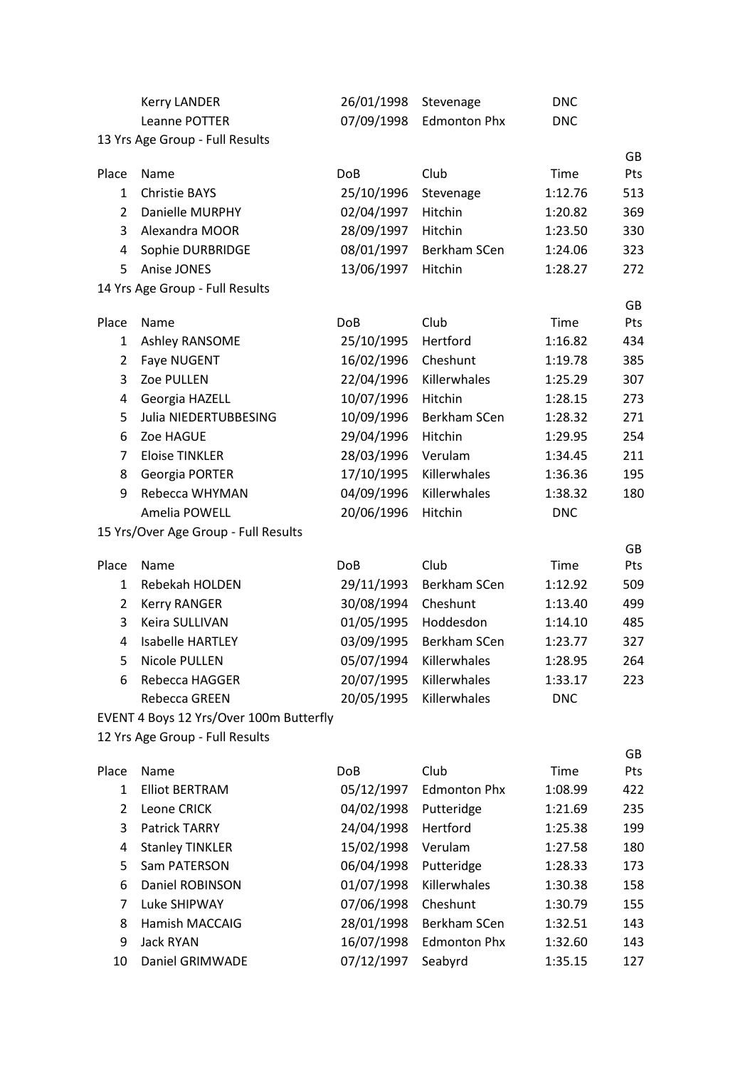|                     | <b>Kerry LANDER</b>                     | 26/01/1998               | Stevenage               | <b>DNC</b>         |            |
|---------------------|-----------------------------------------|--------------------------|-------------------------|--------------------|------------|
|                     | Leanne POTTER                           | 07/09/1998               | <b>Edmonton Phx</b>     | <b>DNC</b>         |            |
|                     | 13 Yrs Age Group - Full Results         |                          |                         |                    |            |
|                     |                                         |                          |                         |                    | GB         |
| Place               | Name                                    | <b>DoB</b>               | Club                    | Time               | Pts        |
| $\mathbf{1}$        | <b>Christie BAYS</b>                    | 25/10/1996               | Stevenage               | 1:12.76            | 513        |
| $\overline{2}$      | Danielle MURPHY                         | 02/04/1997               | Hitchin                 | 1:20.82            | 369        |
| 3                   | Alexandra MOOR                          | 28/09/1997               | Hitchin                 | 1:23.50            | 330        |
| 4                   | Sophie DURBRIDGE                        | 08/01/1997               | Berkham SCen            | 1:24.06            | 323        |
| 5                   | Anise JONES                             | 13/06/1997               | Hitchin                 | 1:28.27            | 272        |
|                     | 14 Yrs Age Group - Full Results         |                          |                         |                    |            |
| Place               | Name                                    | <b>DoB</b>               | Club                    | Time               | GB<br>Pts  |
| 1                   | Ashley RANSOME                          | 25/10/1995               | Hertford                | 1:16.82            | 434        |
| $\overline{2}$      | Faye NUGENT                             | 16/02/1996               | Cheshunt                | 1:19.78            | 385        |
| 3                   | Zoe PULLEN                              | 22/04/1996               | Killerwhales            | 1:25.29            | 307        |
| 4                   | Georgia HAZELL                          | 10/07/1996               | Hitchin                 | 1:28.15            | 273        |
| 5                   | Julia NIEDERTUBBESING                   | 10/09/1996               | Berkham SCen            | 1:28.32            | 271        |
| 6                   | Zoe HAGUE                               | 29/04/1996               | Hitchin                 | 1:29.95            | 254        |
| $\overline{7}$      | <b>Eloise TINKLER</b>                   | 28/03/1996               | Verulam                 | 1:34.45            | 211        |
| 8                   | Georgia PORTER                          | 17/10/1995               | Killerwhales            | 1:36.36            | 195        |
| 9                   | Rebecca WHYMAN                          | 04/09/1996               | Killerwhales            | 1:38.32            | 180        |
|                     | Amelia POWELL                           | 20/06/1996               | Hitchin                 | <b>DNC</b>         |            |
|                     | 15 Yrs/Over Age Group - Full Results    |                          |                         |                    |            |
|                     |                                         |                          |                         |                    | GB         |
| Place               | Name                                    | <b>DoB</b>               | Club                    | Time               | Pts        |
| 1                   | Rebekah HOLDEN                          | 29/11/1993               | Berkham SCen            | 1:12.92            | 509        |
| $\overline{2}$<br>3 | <b>Kerry RANGER</b><br>Keira SULLIVAN   | 30/08/1994               | Cheshunt<br>Hoddesdon   | 1:13.40            | 499        |
| 4                   | Isabelle HARTLEY                        | 01/05/1995<br>03/09/1995 | Berkham SCen            | 1:14.10            | 485<br>327 |
| 5.                  | Nicole PULLEN                           |                          | 05/07/1994 Killerwhales | 1:23.77<br>1:28.95 |            |
| 6                   | Rebecca HAGGER                          | 20/07/1995               | Killerwhales            | 1:33.17            | 264        |
|                     | Rebecca GREEN                           | 20/05/1995               | Killerwhales            | <b>DNC</b>         | 223        |
|                     | EVENT 4 Boys 12 Yrs/Over 100m Butterfly |                          |                         |                    |            |
|                     | 12 Yrs Age Group - Full Results         |                          |                         |                    |            |
|                     |                                         |                          |                         |                    | GB         |
| Place               | Name                                    | <b>DoB</b>               | Club                    | Time               | Pts        |
| 1                   | <b>Elliot BERTRAM</b>                   | 05/12/1997               | <b>Edmonton Phx</b>     | 1:08.99            | 422        |
| 2                   | Leone CRICK                             | 04/02/1998               | Putteridge              | 1:21.69            | 235        |
| 3                   | Patrick TARRY                           | 24/04/1998               | Hertford                | 1:25.38            | 199        |
| 4                   | <b>Stanley TINKLER</b>                  | 15/02/1998               | Verulam                 | 1:27.58            | 180        |
| 5                   | Sam PATERSON                            | 06/04/1998               | Putteridge              | 1:28.33            | 173        |
| 6                   | Daniel ROBINSON                         | 01/07/1998               | Killerwhales            | 1:30.38            | 158        |
| 7                   | Luke SHIPWAY                            | 07/06/1998               | Cheshunt                | 1:30.79            | 155        |
| 8                   | Hamish MACCAIG                          | 28/01/1998               | Berkham SCen            | 1:32.51            | 143        |
| 9                   | Jack RYAN                               | 16/07/1998               | <b>Edmonton Phx</b>     | 1:32.60            | 143        |
| 10                  | Daniel GRIMWADE                         | 07/12/1997               | Seabyrd                 | 1:35.15            | 127        |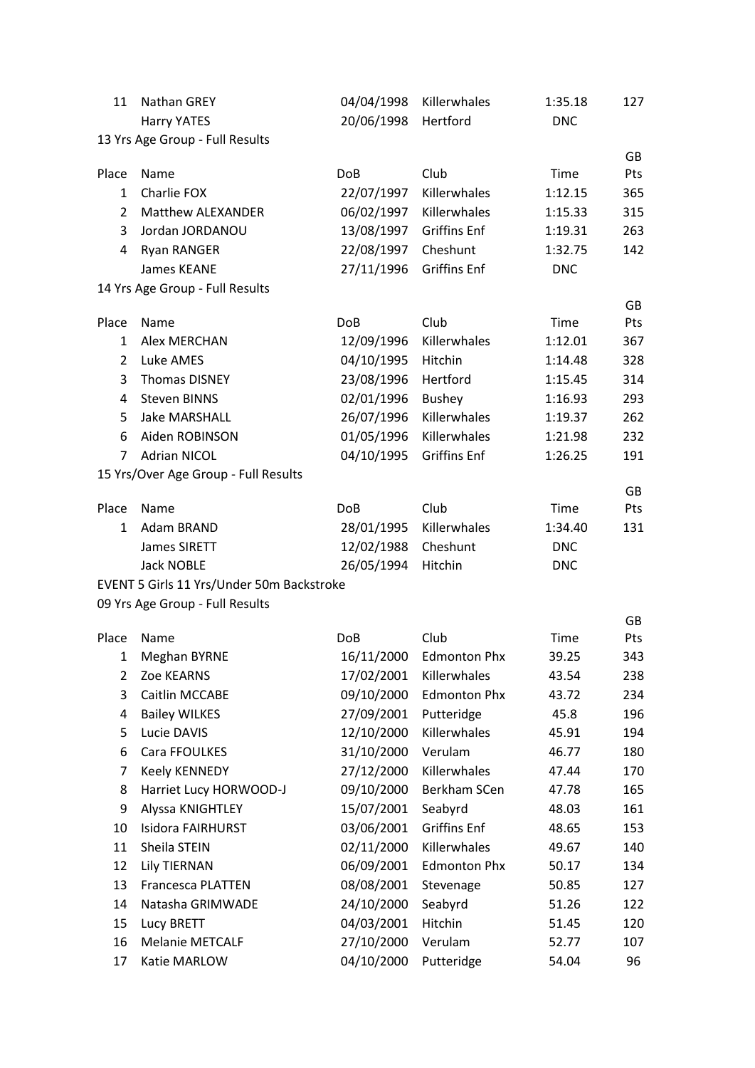| 11             | <b>Nathan GREY</b>                        | 04/04/1998      | Killerwhales        | 1:35.18    | 127       |
|----------------|-------------------------------------------|-----------------|---------------------|------------|-----------|
|                | <b>Harry YATES</b>                        | 20/06/1998      | Hertford            | <b>DNC</b> |           |
|                | 13 Yrs Age Group - Full Results           |                 |                     |            |           |
| Place          | Name                                      | <b>DoB</b>      | Club                | Time       | GB<br>Pts |
| $\mathbf{1}$   | Charlie FOX                               | 22/07/1997      | Killerwhales        | 1:12.15    | 365       |
| $\overline{2}$ | Matthew ALEXANDER                         | 06/02/1997      | Killerwhales        | 1:15.33    | 315       |
| 3              | Jordan JORDANOU                           | 13/08/1997      | <b>Griffins Enf</b> | 1:19.31    | 263       |
| 4              | <b>Ryan RANGER</b>                        | 22/08/1997      | Cheshunt            | 1:32.75    | 142       |
|                | James KEANE                               | 27/11/1996      | <b>Griffins Enf</b> | <b>DNC</b> |           |
|                | 14 Yrs Age Group - Full Results           |                 |                     |            |           |
|                |                                           |                 |                     |            | GB        |
| Place          | Name                                      | Do <sub>B</sub> | Club                | Time       | Pts       |
| $\mathbf{1}$   | <b>Alex MERCHAN</b>                       | 12/09/1996      | Killerwhales        | 1:12.01    | 367       |
| $\overline{2}$ | Luke AMES                                 | 04/10/1995      | Hitchin             | 1:14.48    | 328       |
| 3              | <b>Thomas DISNEY</b>                      | 23/08/1996      | Hertford            | 1:15.45    | 314       |
| 4              | <b>Steven BINNS</b>                       | 02/01/1996      | <b>Bushey</b>       | 1:16.93    | 293       |
| 5              | <b>Jake MARSHALL</b>                      | 26/07/1996      | Killerwhales        | 1:19.37    | 262       |
| 6              | Aiden ROBINSON                            | 01/05/1996      | Killerwhales        | 1:21.98    | 232       |
| 7              | <b>Adrian NICOL</b>                       | 04/10/1995      | <b>Griffins Enf</b> | 1:26.25    | 191       |
|                | 15 Yrs/Over Age Group - Full Results      |                 |                     |            | GB        |
| Place          | Name                                      | <b>DoB</b>      | Club                | Time       | Pts       |
| $\mathbf{1}$   | Adam BRAND                                | 28/01/1995      | Killerwhales        | 1:34.40    | 131       |
|                | James SIRETT                              | 12/02/1988      | Cheshunt            | <b>DNC</b> |           |
|                | <b>Jack NOBLE</b>                         | 26/05/1994      | Hitchin             | <b>DNC</b> |           |
|                | EVENT 5 Girls 11 Yrs/Under 50m Backstroke |                 |                     |            |           |
|                | 09 Yrs Age Group - Full Results           |                 |                     |            |           |
| Place          | Name                                      | <b>DoB</b>      | Club                | Time       | GB<br>Pts |
| 1              | Meghan BYRNE                              | 16/11/2000      | <b>Edmonton Phx</b> | 39.25      | 343       |
| 2              | Zoe KEARNS                                | 17/02/2001      | Killerwhales        | 43.54      | 238       |
| 3              | Caitlin MCCABE                            | 09/10/2000      | <b>Edmonton Phx</b> | 43.72      | 234       |
| 4              | <b>Bailey WILKES</b>                      | 27/09/2001      | Putteridge          | 45.8       | 196       |
| 5              | Lucie DAVIS                               | 12/10/2000      | Killerwhales        | 45.91      | 194       |
| 6              | Cara FFOULKES                             | 31/10/2000      | Verulam             | 46.77      | 180       |
| 7              | <b>Keely KENNEDY</b>                      | 27/12/2000      | Killerwhales        | 47.44      | 170       |
| 8              | Harriet Lucy HORWOOD-J                    | 09/10/2000      | Berkham SCen        | 47.78      | 165       |
| 9              | Alyssa KNIGHTLEY                          | 15/07/2001      | Seabyrd             | 48.03      | 161       |
| 10             | Isidora FAIRHURST                         | 03/06/2001      | <b>Griffins Enf</b> | 48.65      | 153       |
| 11             | Sheila STEIN                              | 02/11/2000      | Killerwhales        | 49.67      | 140       |
| 12             | <b>Lily TIERNAN</b>                       | 06/09/2001      | <b>Edmonton Phx</b> | 50.17      | 134       |
| 13             | Francesca PLATTEN                         | 08/08/2001      | Stevenage           | 50.85      | 127       |
| 14             | Natasha GRIMWADE                          | 24/10/2000      | Seabyrd             | 51.26      | 122       |
| 15             | Lucy BRETT                                | 04/03/2001      | Hitchin             | 51.45      | 120       |
| 16             | Melanie METCALF                           | 27/10/2000      | Verulam             | 52.77      | 107       |
| 17             | Katie MARLOW                              | 04/10/2000      | Putteridge          | 54.04      | 96        |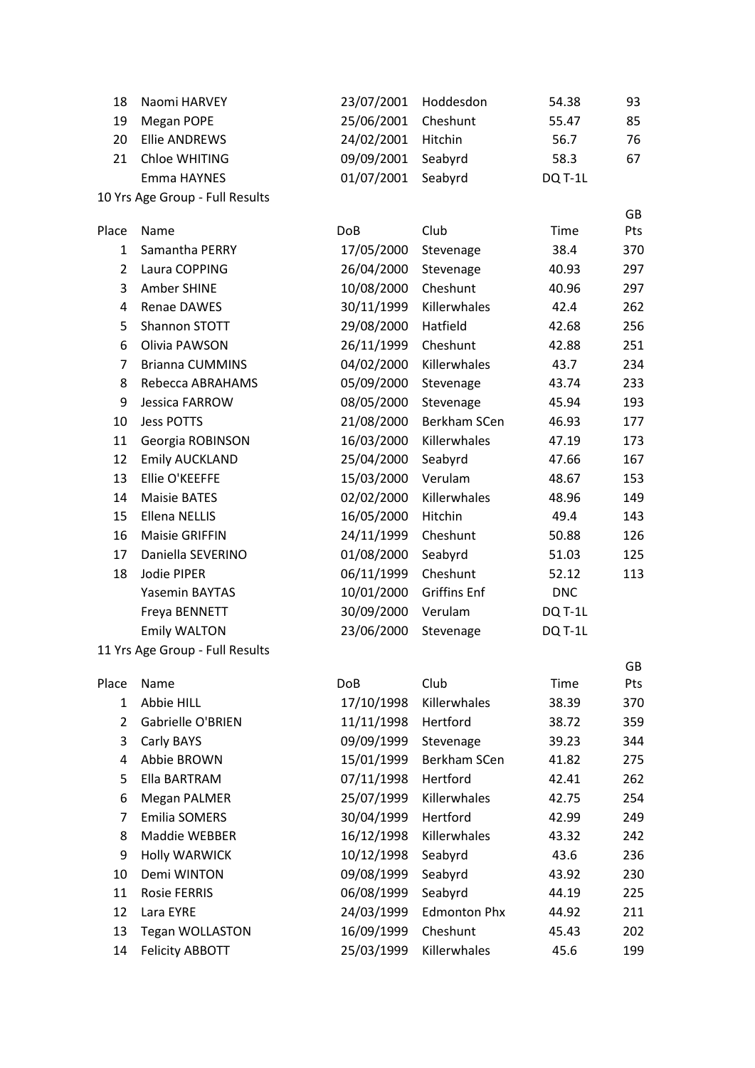| 18             | Naomi HARVEY                    | 23/07/2001 | Hoddesdon           | 54.38      | 93  |
|----------------|---------------------------------|------------|---------------------|------------|-----|
| 19             | Megan POPE                      | 25/06/2001 | Cheshunt            | 55.47      | 85  |
| 20             | <b>Ellie ANDREWS</b>            | 24/02/2001 | Hitchin             | 56.7       | 76  |
| 21             | Chloe WHITING                   | 09/09/2001 | Seabyrd             | 58.3       | 67  |
|                | Emma HAYNES                     | 01/07/2001 | Seabyrd             | DQ T-1L    |     |
|                | 10 Yrs Age Group - Full Results |            |                     |            |     |
|                |                                 |            |                     |            | GB  |
| Place          | Name                            | <b>DoB</b> | Club                | Time       | Pts |
| 1              | Samantha PERRY                  | 17/05/2000 | Stevenage           | 38.4       | 370 |
| $\overline{2}$ | Laura COPPING                   | 26/04/2000 | Stevenage           | 40.93      | 297 |
| 3              | Amber SHINE                     | 10/08/2000 | Cheshunt            | 40.96      | 297 |
| 4              | Renae DAWES                     | 30/11/1999 | Killerwhales        | 42.4       | 262 |
| 5              | Shannon STOTT                   | 29/08/2000 | Hatfield            | 42.68      | 256 |
| 6              | Olivia PAWSON                   | 26/11/1999 | Cheshunt            | 42.88      | 251 |
| $\overline{7}$ | <b>Brianna CUMMINS</b>          | 04/02/2000 | Killerwhales        | 43.7       | 234 |
| 8              | Rebecca ABRAHAMS                | 05/09/2000 | Stevenage           | 43.74      | 233 |
| 9              | Jessica FARROW                  | 08/05/2000 | Stevenage           | 45.94      | 193 |
| 10             | <b>Jess POTTS</b>               | 21/08/2000 | Berkham SCen        | 46.93      | 177 |
| 11             | Georgia ROBINSON                | 16/03/2000 | Killerwhales        | 47.19      | 173 |
| 12             | <b>Emily AUCKLAND</b>           | 25/04/2000 | Seabyrd             | 47.66      | 167 |
| 13             | Ellie O'KEEFFE                  | 15/03/2000 | Verulam             | 48.67      | 153 |
| 14             | <b>Maisie BATES</b>             | 02/02/2000 | Killerwhales        | 48.96      | 149 |
| 15             | <b>Ellena NELLIS</b>            | 16/05/2000 | Hitchin             | 49.4       | 143 |
| 16             | <b>Maisie GRIFFIN</b>           | 24/11/1999 | Cheshunt            | 50.88      | 126 |
| 17             | Daniella SEVERINO               | 01/08/2000 | Seabyrd             | 51.03      | 125 |
| 18             | Jodie PIPER                     | 06/11/1999 | Cheshunt            | 52.12      | 113 |
|                | Yasemin BAYTAS                  | 10/01/2000 | <b>Griffins Enf</b> | <b>DNC</b> |     |
|                | Freya BENNETT                   | 30/09/2000 | Verulam             | DQ T-1L    |     |
|                | <b>Emily WALTON</b>             | 23/06/2000 | Stevenage           | DQ T-1L    |     |
|                | 11 Yrs Age Group - Full Results |            |                     |            |     |
|                |                                 |            |                     |            | GB  |
| Place          | Name                            | <b>DoB</b> | Club                | Time       | Pts |
| $\mathbf{1}$   | Abbie HILL                      | 17/10/1998 | Killerwhales        | 38.39      | 370 |
| $\overline{2}$ | Gabrielle O'BRIEN               | 11/11/1998 | Hertford            | 38.72      | 359 |
| 3              | Carly BAYS                      | 09/09/1999 | Stevenage           | 39.23      | 344 |
| 4              | Abbie BROWN                     | 15/01/1999 | Berkham SCen        | 41.82      | 275 |
| 5              | Ella BARTRAM                    | 07/11/1998 | Hertford            | 42.41      | 262 |
| 6              | <b>Megan PALMER</b>             | 25/07/1999 | Killerwhales        | 42.75      | 254 |
| $\overline{7}$ | <b>Emilia SOMERS</b>            | 30/04/1999 | Hertford            | 42.99      | 249 |
| 8              | Maddie WEBBER                   | 16/12/1998 | Killerwhales        | 43.32      | 242 |
| 9              | <b>Holly WARWICK</b>            | 10/12/1998 | Seabyrd             | 43.6       | 236 |
| 10             | Demi WINTON                     | 09/08/1999 | Seabyrd             | 43.92      | 230 |
| 11             | <b>Rosie FERRIS</b>             | 06/08/1999 | Seabyrd             | 44.19      | 225 |
| 12             | Lara EYRE                       | 24/03/1999 | <b>Edmonton Phx</b> | 44.92      | 211 |
| 13             | <b>Tegan WOLLASTON</b>          | 16/09/1999 | Cheshunt            | 45.43      | 202 |
| 14             | <b>Felicity ABBOTT</b>          | 25/03/1999 | Killerwhales        | 45.6       | 199 |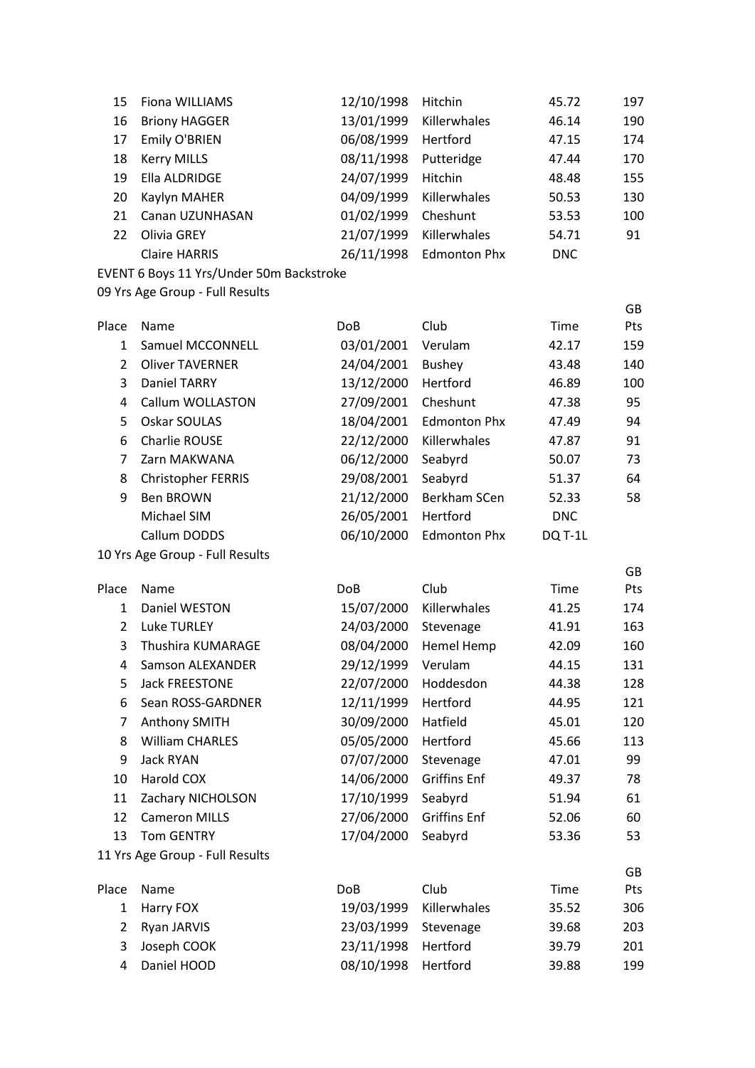| 15             | Fiona WILLIAMS                           | 12/10/1998 | Hitchin             | 45.72      | 197 |
|----------------|------------------------------------------|------------|---------------------|------------|-----|
| 16             | <b>Briony HAGGER</b>                     | 13/01/1999 | Killerwhales        | 46.14      | 190 |
| 17             | Emily O'BRIEN                            | 06/08/1999 | Hertford            | 47.15      | 174 |
| 18             | <b>Kerry MILLS</b>                       | 08/11/1998 | Putteridge          | 47.44      | 170 |
| 19             | Ella ALDRIDGE                            | 24/07/1999 | Hitchin             | 48.48      | 155 |
| 20             | Kaylyn MAHER                             | 04/09/1999 | Killerwhales        | 50.53      | 130 |
| 21             | Canan UZUNHASAN                          | 01/02/1999 | Cheshunt            | 53.53      | 100 |
| 22             | Olivia GREY                              | 21/07/1999 | Killerwhales        | 54.71      | 91  |
|                | <b>Claire HARRIS</b>                     | 26/11/1998 | <b>Edmonton Phx</b> | <b>DNC</b> |     |
|                | EVENT 6 Boys 11 Yrs/Under 50m Backstroke |            |                     |            |     |
|                | 09 Yrs Age Group - Full Results          |            |                     |            |     |
|                |                                          |            |                     |            | GB  |
| Place          | Name                                     | <b>DoB</b> | Club                | Time       | Pts |
| $\mathbf{1}$   | Samuel MCCONNELL                         | 03/01/2001 | Verulam             | 42.17      | 159 |
| $\overline{2}$ | <b>Oliver TAVERNER</b>                   | 24/04/2001 | <b>Bushey</b>       | 43.48      | 140 |
| 3              | <b>Daniel TARRY</b>                      | 13/12/2000 | Hertford            | 46.89      | 100 |
| 4              | Callum WOLLASTON                         | 27/09/2001 | Cheshunt            | 47.38      | 95  |
| 5              | Oskar SOULAS                             | 18/04/2001 | <b>Edmonton Phx</b> | 47.49      | 94  |
| 6              | Charlie ROUSE                            | 22/12/2000 | Killerwhales        | 47.87      | 91  |
| 7              | Zarn MAKWANA                             | 06/12/2000 | Seabyrd             | 50.07      | 73  |
| 8              | <b>Christopher FERRIS</b>                | 29/08/2001 | Seabyrd             | 51.37      | 64  |
| 9              | <b>Ben BROWN</b>                         | 21/12/2000 | Berkham SCen        | 52.33      | 58  |
|                | Michael SIM                              | 26/05/2001 | Hertford            | <b>DNC</b> |     |
|                | Callum DODDS                             | 06/10/2000 | <b>Edmonton Phx</b> | DQ T-1L    |     |
|                | 10 Yrs Age Group - Full Results          |            |                     |            | GB  |
| Place          | Name                                     | <b>DoB</b> | Club                | Time       | Pts |
| $\mathbf{1}$   | Daniel WESTON                            | 15/07/2000 | Killerwhales        | 41.25      | 174 |
| $\overline{2}$ | <b>Luke TURLEY</b>                       | 24/03/2000 | Stevenage           | 41.91      | 163 |
| 3              | Thushira KUMARAGE                        | 08/04/2000 | Hemel Hemp          | 42.09      | 160 |
| 4              | <b>Samson ALEXANDER</b>                  | 29/12/1999 | Verulam             | 44.15      | 131 |
| 5              | <b>Jack FREESTONE</b>                    | 22/07/2000 | Hoddesdon           | 44.38      | 128 |
| 6              | Sean ROSS-GARDNER                        | 12/11/1999 | Hertford            | 44.95      | 121 |
| 7              | Anthony SMITH                            | 30/09/2000 | Hatfield            | 45.01      | 120 |
| 8              | <b>William CHARLES</b>                   | 05/05/2000 | Hertford            | 45.66      | 113 |
| 9              | Jack RYAN                                | 07/07/2000 | Stevenage           | 47.01      | 99  |
| 10             | Harold COX                               | 14/06/2000 | <b>Griffins Enf</b> | 49.37      | 78  |
| 11             | Zachary NICHOLSON                        | 17/10/1999 | Seabyrd             | 51.94      | 61  |
| 12             | <b>Cameron MILLS</b>                     | 27/06/2000 | <b>Griffins Enf</b> | 52.06      | 60  |
| 13             | <b>Tom GENTRY</b>                        | 17/04/2000 | Seabyrd             | 53.36      | 53  |
|                | 11 Yrs Age Group - Full Results          |            |                     |            |     |
|                |                                          |            |                     |            | GB  |
| Place          | Name                                     | DoB        | Club                | Time       | Pts |
| $\mathbf{1}$   | Harry FOX                                | 19/03/1999 | Killerwhales        | 35.52      | 306 |
| 2              | Ryan JARVIS                              | 23/03/1999 | Stevenage           | 39.68      | 203 |
| 3              | Joseph COOK                              | 23/11/1998 | Hertford            | 39.79      | 201 |
| 4              | Daniel HOOD                              | 08/10/1998 | Hertford            | 39.88      | 199 |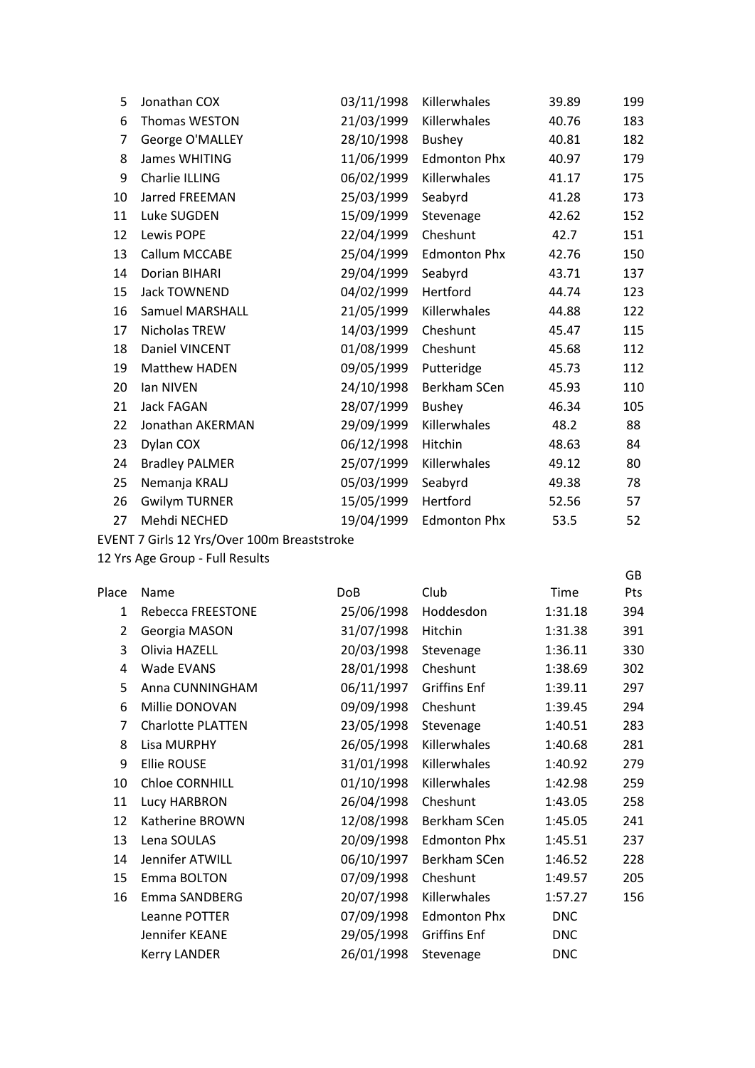| 5  | Jonathan COX           | 03/11/1998 | Killerwhales        | 39.89 | 199 |
|----|------------------------|------------|---------------------|-------|-----|
| 6  | Thomas WESTON          | 21/03/1999 | Killerwhales        | 40.76 | 183 |
| 7  | George O'MALLEY        | 28/10/1998 | Bushey              | 40.81 | 182 |
| 8  | <b>James WHITING</b>   | 11/06/1999 | <b>Edmonton Phx</b> | 40.97 | 179 |
| 9  | Charlie ILLING         | 06/02/1999 | Killerwhales        | 41.17 | 175 |
| 10 | Jarred FREEMAN         | 25/03/1999 | Seabyrd             | 41.28 | 173 |
| 11 | Luke SUGDEN            | 15/09/1999 | Stevenage           | 42.62 | 152 |
| 12 | Lewis POPE             | 22/04/1999 | Cheshunt            | 42.7  | 151 |
| 13 | Callum MCCABE          | 25/04/1999 | <b>Edmonton Phx</b> | 42.76 | 150 |
| 14 | Dorian BIHARI          | 29/04/1999 | Seabyrd             | 43.71 | 137 |
| 15 | Jack TOWNEND           | 04/02/1999 | Hertford            | 44.74 | 123 |
| 16 | <b>Samuel MARSHALL</b> | 21/05/1999 | Killerwhales        | 44.88 | 122 |
| 17 | Nicholas TREW          | 14/03/1999 | Cheshunt            | 45.47 | 115 |
| 18 | Daniel VINCENT         | 01/08/1999 | Cheshunt            | 45.68 | 112 |
| 19 | Matthew HADEN          | 09/05/1999 | Putteridge          | 45.73 | 112 |
| 20 | lan NIVEN              | 24/10/1998 | Berkham SCen        | 45.93 | 110 |
| 21 | Jack FAGAN             | 28/07/1999 | <b>Bushey</b>       | 46.34 | 105 |
| 22 | Jonathan AKERMAN       | 29/09/1999 | Killerwhales        | 48.2  | 88  |
| 23 | Dylan COX              | 06/12/1998 | Hitchin             | 48.63 | 84  |
| 24 | <b>Bradley PALMER</b>  | 25/07/1999 | Killerwhales        | 49.12 | 80  |
| 25 | Nemanja KRALJ          | 05/03/1999 | Seabyrd             | 49.38 | 78  |
| 26 | <b>Gwilym TURNER</b>   | 15/05/1999 | Hertford            | 52.56 | 57  |
| 27 | Mehdi NECHED           | 19/04/1999 | <b>Edmonton Phx</b> | 53.5  | 52  |
|    |                        |            |                     |       |     |

EVENT 7 Girls 12 Yrs/Over 100m Breaststroke

12 Yrs Age Group - Full Results

| Place | Name                     | DoB        | Club                | Time       | Pts |
|-------|--------------------------|------------|---------------------|------------|-----|
| 1     | Rebecca FREESTONE        | 25/06/1998 | Hoddesdon           | 1:31.18    | 394 |
| 2     | Georgia MASON            | 31/07/1998 | Hitchin             | 1:31.38    | 391 |
| 3     | Olivia HAZELL            | 20/03/1998 | Stevenage           | 1:36.11    | 330 |
| 4     | Wade EVANS               | 28/01/1998 | Cheshunt            | 1:38.69    | 302 |
| 5     | Anna CUNNINGHAM          | 06/11/1997 | <b>Griffins Enf</b> | 1:39.11    | 297 |
| 6     | Millie DONOVAN           | 09/09/1998 | Cheshunt            | 1:39.45    | 294 |
| 7     | <b>Charlotte PLATTEN</b> | 23/05/1998 | Stevenage           | 1:40.51    | 283 |
| 8     | Lisa MURPHY              | 26/05/1998 | Killerwhales        | 1:40.68    | 281 |
| 9     | <b>Ellie ROUSE</b>       | 31/01/1998 | Killerwhales        | 1:40.92    | 279 |
| 10    | <b>Chloe CORNHILL</b>    | 01/10/1998 | Killerwhales        | 1:42.98    | 259 |
| 11    | Lucy HARBRON             | 26/04/1998 | Cheshunt            | 1:43.05    | 258 |
| 12    | Katherine BROWN          | 12/08/1998 | Berkham SCen        | 1:45.05    | 241 |
| 13    | Lena SOULAS              | 20/09/1998 | <b>Edmonton Phx</b> | 1:45.51    | 237 |
| 14    | Jennifer ATWILL          | 06/10/1997 | Berkham SCen        | 1:46.52    | 228 |
| 15    | Emma BOLTON              | 07/09/1998 | Cheshunt            | 1:49.57    | 205 |
| 16    | Emma SANDBERG            | 20/07/1998 | Killerwhales        | 1:57.27    | 156 |
|       | Leanne POTTER            | 07/09/1998 | <b>Edmonton Phx</b> | <b>DNC</b> |     |
|       | Jennifer KEANE           | 29/05/1998 | <b>Griffins Enf</b> | <b>DNC</b> |     |
|       | <b>Kerry LANDER</b>      | 26/01/1998 | Stevenage           | <b>DNC</b> |     |

GB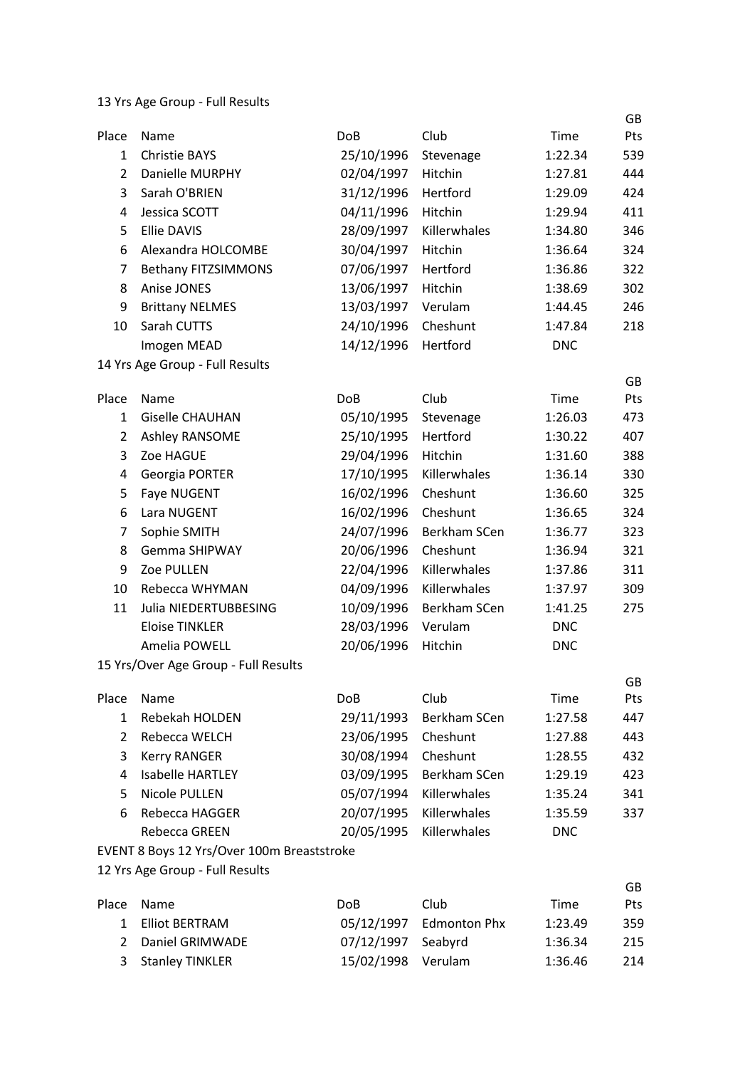|                |                                            |            |                |                    | GB        |
|----------------|--------------------------------------------|------------|----------------|--------------------|-----------|
| Place          | Name                                       | <b>DoB</b> | Club           | Time               | Pts       |
| $\mathbf{1}$   | <b>Christie BAYS</b>                       | 25/10/1996 | Stevenage      | 1:22.34            | 539       |
| $\overline{2}$ | <b>Danielle MURPHY</b>                     | 02/04/1997 | Hitchin        | 1:27.81            | 444       |
| 3              | Sarah O'BRIEN                              | 31/12/1996 | Hertford       | 1:29.09            | 424       |
| 4              | Jessica SCOTT                              | 04/11/1996 | Hitchin        | 1:29.94            | 411       |
| 5              | <b>Ellie DAVIS</b>                         | 28/09/1997 | Killerwhales   | 1:34.80            | 346       |
| 6              | Alexandra HOLCOMBE                         | 30/04/1997 | <b>Hitchin</b> | 1:36.64            | 324       |
| 7              | <b>Bethany FITZSIMMONS</b>                 | 07/06/1997 | Hertford       | 1:36.86            | 322       |
| 8              | Anise JONES                                | 13/06/1997 | Hitchin        | 1:38.69            | 302       |
| 9              | <b>Brittany NELMES</b>                     | 13/03/1997 | Verulam        | 1:44.45            | 246       |
| 10             | Sarah CUTTS                                | 24/10/1996 | Cheshunt       | 1:47.84            | 218       |
|                | Imogen MEAD                                | 14/12/1996 | Hertford       | <b>DNC</b>         |           |
|                | 14 Yrs Age Group - Full Results            |            |                |                    |           |
| Place          | Name                                       | <b>DoB</b> | Club           | Time               | GB<br>Pts |
| $\mathbf{1}$   | <b>Giselle CHAUHAN</b>                     | 05/10/1995 | Stevenage      | 1:26.03            | 473       |
| $\overline{2}$ | Ashley RANSOME                             | 25/10/1995 | Hertford       | 1:30.22            | 407       |
| 3              | Zoe HAGUE                                  | 29/04/1996 | Hitchin        | 1:31.60            | 388       |
| 4              | Georgia PORTER                             | 17/10/1995 | Killerwhales   | 1:36.14            | 330       |
| 5              | Faye NUGENT                                | 16/02/1996 | Cheshunt       | 1:36.60            | 325       |
| 6              | Lara NUGENT                                | 16/02/1996 | Cheshunt       | 1:36.65            | 324       |
| 7              | Sophie SMITH                               | 24/07/1996 | Berkham SCen   | 1:36.77            | 323       |
| 8              | <b>Gemma SHIPWAY</b>                       | 20/06/1996 | Cheshunt       | 1:36.94            | 321       |
| 9              | Zoe PULLEN                                 | 22/04/1996 | Killerwhales   | 1:37.86            | 311       |
| 10             | Rebecca WHYMAN                             | 04/09/1996 | Killerwhales   |                    | 309       |
| 11             | Julia NIEDERTUBBESING                      | 10/09/1996 | Berkham SCen   | 1:37.97<br>1:41.25 | 275       |
|                | <b>Eloise TINKLER</b>                      | 28/03/1996 | Verulam        | <b>DNC</b>         |           |
|                | Amelia POWELL                              | 20/06/1996 | Hitchin        | <b>DNC</b>         |           |
|                | 15 Yrs/Over Age Group - Full Results       |            |                |                    |           |
|                |                                            |            |                |                    | GB        |
| Place          | Name                                       | DoB        | Club           | Time               | Pts       |
| 1              | Rebekah HOLDEN                             | 29/11/1993 | Berkham SCen   | 1:27.58            | 447       |
| $\overline{2}$ | Rebecca WELCH                              | 23/06/1995 | Cheshunt       | 1:27.88            | 443       |
| 3              | <b>Kerry RANGER</b>                        | 30/08/1994 | Cheshunt       | 1:28.55            | 432       |
| 4              | <b>Isabelle HARTLEY</b>                    | 03/09/1995 | Berkham SCen   | 1:29.19            | 423       |
| 5              | Nicole PULLEN                              | 05/07/1994 | Killerwhales   | 1:35.24            | 341       |
| 6              | Rebecca HAGGER                             | 20/07/1995 | Killerwhales   | 1:35.59            | 337       |
|                | Rebecca GREEN                              | 20/05/1995 | Killerwhales   | <b>DNC</b>         |           |
|                | EVENT 8 Boys 12 Yrs/Over 100m Breaststroke |            |                |                    |           |
|                | 12 Yrs Age Group - Full Results            |            |                |                    |           |
|                |                                            |            |                |                    | GB        |
| Place          | Name                                       | <b>DoB</b> | Club           | Time               | Pts       |

| riace ivalite     | <b>DUD</b>         | <b>CRUD</b>             | ,,,,,,  | r LS. |
|-------------------|--------------------|-------------------------|---------|-------|
| 1 Elliot BERTRAM  |                    | 05/12/1997 Edmonton Phx | 1:23.49 | 359   |
| 2 Daniel GRIMWADE | 07/12/1997 Seabyrd |                         | 1:36.34 | 215   |
| 3 Stanley TINKLER | 15/02/1998 Verulam |                         | 1:36.46 | 214   |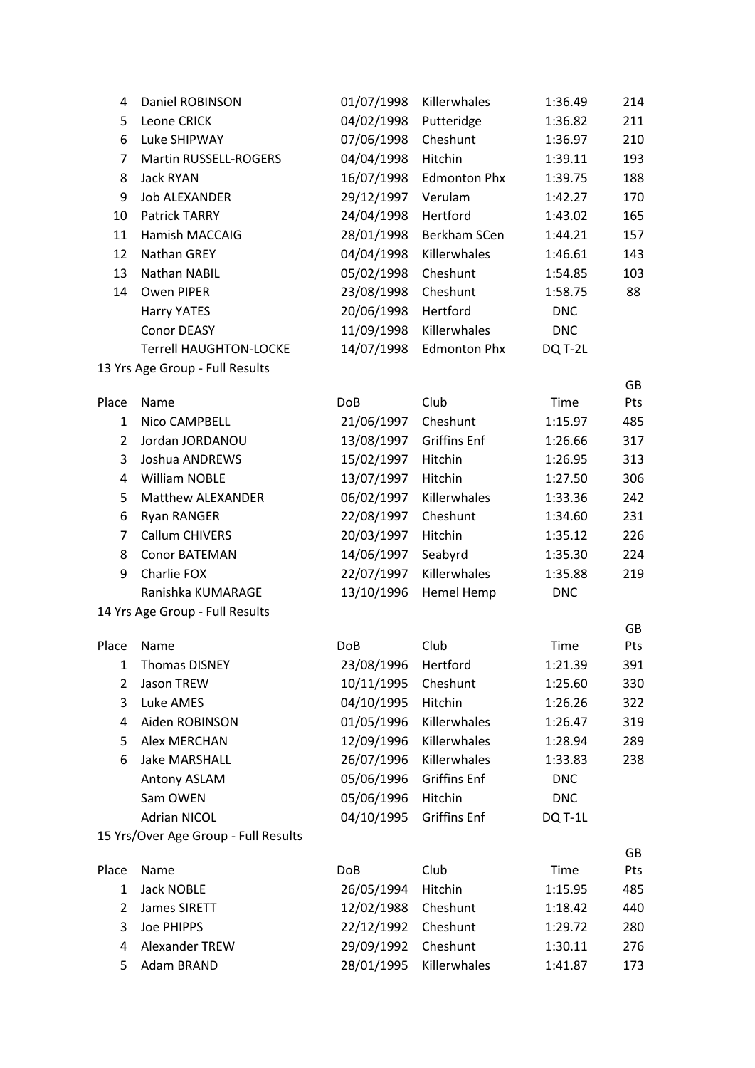| 4              | Daniel ROBINSON                      | 01/07/1998          | Killerwhales        | 1:36.49    | 214       |
|----------------|--------------------------------------|---------------------|---------------------|------------|-----------|
| 5              | Leone CRICK                          | 04/02/1998          | Putteridge          | 1:36.82    | 211       |
| 6              | Luke SHIPWAY                         | 07/06/1998          | Cheshunt            | 1:36.97    | 210       |
| 7              | Martin RUSSELL-ROGERS                | 04/04/1998          | Hitchin             | 1:39.11    | 193       |
| 8              | Jack RYAN                            | 16/07/1998          | <b>Edmonton Phx</b> | 1:39.75    | 188       |
| 9              | <b>Job ALEXANDER</b>                 | 29/12/1997          | Verulam             | 1:42.27    | 170       |
| 10             | Patrick TARRY                        | 24/04/1998          | Hertford            | 1:43.02    | 165       |
| 11             | Hamish MACCAIG                       | 28/01/1998          | Berkham SCen        | 1:44.21    | 157       |
| 12             | Nathan GREY                          | 04/04/1998          | Killerwhales        | 1:46.61    | 143       |
| 13             | Nathan NABIL                         | 05/02/1998          | Cheshunt            | 1:54.85    | 103       |
| 14             | Owen PIPER                           | 23/08/1998          | Cheshunt            | 1:58.75    | 88        |
|                | <b>Harry YATES</b>                   | 20/06/1998          | Hertford            | <b>DNC</b> |           |
|                | <b>Conor DEASY</b>                   | 11/09/1998          | Killerwhales        | <b>DNC</b> |           |
|                | <b>Terrell HAUGHTON-LOCKE</b>        | 14/07/1998          | <b>Edmonton Phx</b> | DQ T-2L    |           |
|                | 13 Yrs Age Group - Full Results      |                     |                     |            | GB        |
| Place          | Name                                 | <b>DoB</b>          | Club                | Time       | Pts       |
| $\mathbf{1}$   | Nico CAMPBELL                        | 21/06/1997          | Cheshunt            | 1:15.97    | 485       |
| $\overline{2}$ | Jordan JORDANOU                      | 13/08/1997          | <b>Griffins Enf</b> | 1:26.66    | 317       |
| 3              | Joshua ANDREWS                       | 15/02/1997          | Hitchin             | 1:26.95    | 313       |
| 4              | <b>William NOBLE</b>                 | 13/07/1997          | Hitchin             | 1:27.50    | 306       |
| 5              | Matthew ALEXANDER                    | 06/02/1997          | Killerwhales        | 1:33.36    | 242       |
| 6              | <b>Ryan RANGER</b>                   | 22/08/1997          | Cheshunt            | 1:34.60    | 231       |
| 7              | Callum CHIVERS                       | 20/03/1997          | Hitchin             | 1:35.12    | 226       |
| 8              | <b>Conor BATEMAN</b>                 | 14/06/1997          | Seabyrd             | 1:35.30    | 224       |
| 9              | Charlie FOX                          | 22/07/1997          | Killerwhales        | 1:35.88    | 219       |
|                | Ranishka KUMARAGE                    | 13/10/1996          | Hemel Hemp          | <b>DNC</b> |           |
|                | 14 Yrs Age Group - Full Results      |                     |                     |            |           |
| Place          | Name                                 | <b>DoB</b>          | Club                | Time       | GB<br>Pts |
| 1              | <b>Thomas DISNEY</b>                 | 23/08/1996 Hertford |                     | 1:21.39    | 391       |
| 2              | Jason TREW                           | 10/11/1995          | Cheshunt            | 1:25.60    | 330       |
| 3              | Luke AMES                            | 04/10/1995          | Hitchin             | 1:26.26    | 322       |
| 4              | Aiden ROBINSON                       | 01/05/1996          | Killerwhales        | 1:26.47    | 319       |
| 5              | Alex MERCHAN                         | 12/09/1996          | Killerwhales        | 1:28.94    | 289       |
| 6              | <b>Jake MARSHALL</b>                 | 26/07/1996          | Killerwhales        | 1:33.83    | 238       |
|                | Antony ASLAM                         | 05/06/1996          | <b>Griffins Enf</b> | <b>DNC</b> |           |
|                | Sam OWEN                             | 05/06/1996          | Hitchin             | <b>DNC</b> |           |
|                | <b>Adrian NICOL</b>                  | 04/10/1995          | <b>Griffins Enf</b> | DQ T-1L    |           |
|                | 15 Yrs/Over Age Group - Full Results |                     |                     |            |           |
| Place          | Name                                 | <b>DoB</b>          | Club                | Time       | GB<br>Pts |
| $\mathbf{1}$   | <b>Jack NOBLE</b>                    | 26/05/1994          | Hitchin             | 1:15.95    | 485       |
| $\overline{2}$ | James SIRETT                         | 12/02/1988          | Cheshunt            | 1:18.42    | 440       |
| 3              | Joe PHIPPS                           | 22/12/1992          | Cheshunt            | 1:29.72    | 280       |
| 4              | Alexander TREW                       | 29/09/1992          | Cheshunt            | 1:30.11    | 276       |
| 5              | Adam BRAND                           | 28/01/1995          | Killerwhales        | 1:41.87    | 173       |
|                |                                      |                     |                     |            |           |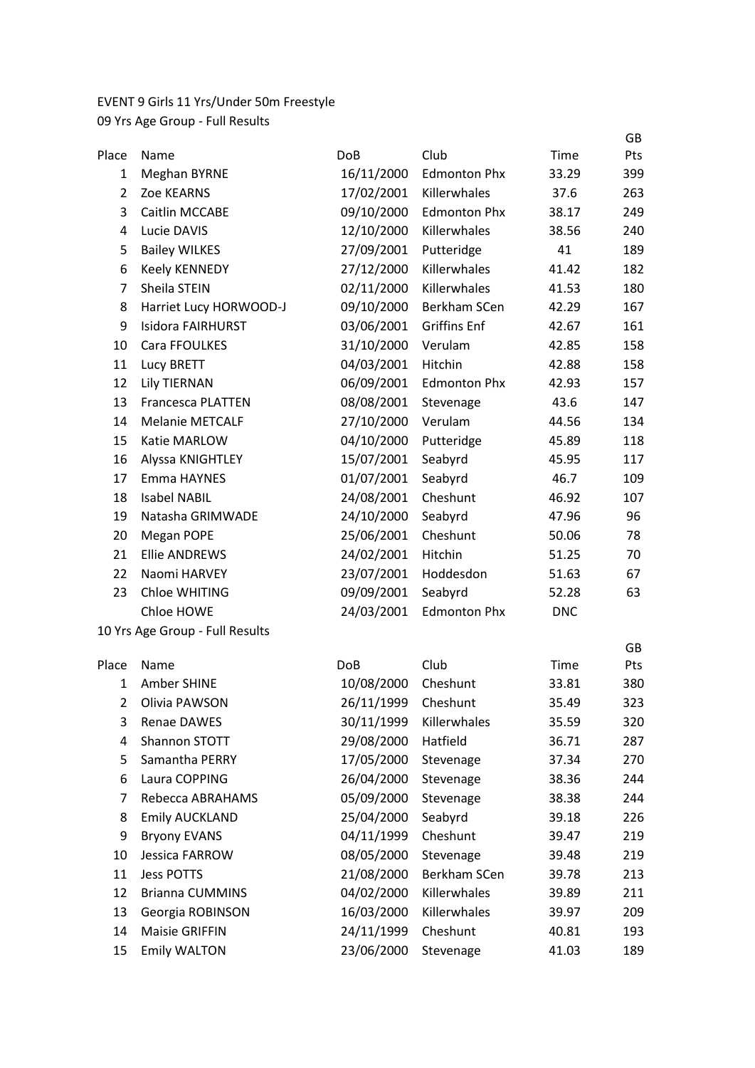## EVENT 9 Girls 11 Yrs/Under 50m Freestyle

|              |                                 |                 |                     |            | GB         |
|--------------|---------------------------------|-----------------|---------------------|------------|------------|
| Place        | Name                            | Do <sub>B</sub> | Club                | Time       | Pts        |
| 1            | <b>Meghan BYRNE</b>             | 16/11/2000      | <b>Edmonton Phx</b> | 33.29      | 399        |
| $\mathbf{2}$ | Zoe KEARNS                      | 17/02/2001      | Killerwhales        | 37.6       | 263        |
| 3            | Caitlin MCCABE                  | 09/10/2000      | <b>Edmonton Phx</b> | 38.17      | 249        |
| 4            | Lucie DAVIS                     | 12/10/2000      | Killerwhales        | 38.56      | 240        |
| 5            | <b>Bailey WILKES</b>            | 27/09/2001      | Putteridge          | 41         | 189        |
| 6            | <b>Keely KENNEDY</b>            | 27/12/2000      | Killerwhales        | 41.42      | 182        |
| 7            | Sheila STEIN                    | 02/11/2000      | Killerwhales        | 41.53      | 180        |
| 8            | Harriet Lucy HORWOOD-J          | 09/10/2000      | Berkham SCen        | 42.29      | 167        |
| 9            | Isidora FAIRHURST               | 03/06/2001      | <b>Griffins Enf</b> | 42.67      | 161        |
| 10           | Cara FFOULKES                   | 31/10/2000      | Verulam             | 42.85      | 158        |
| 11           | Lucy BRETT                      | 04/03/2001      | Hitchin             | 42.88      | 158        |
| 12           | <b>Lily TIERNAN</b>             | 06/09/2001      | <b>Edmonton Phx</b> | 42.93      | 157        |
| 13           | <b>Francesca PLATTEN</b>        | 08/08/2001      | Stevenage           | 43.6       | 147        |
| 14           | <b>Melanie METCALF</b>          | 27/10/2000      | Verulam             | 44.56      | 134        |
| 15           | Katie MARLOW                    | 04/10/2000      | Putteridge          | 45.89      | 118        |
| 16           | Alyssa KNIGHTLEY                | 15/07/2001      | Seabyrd             | 45.95      | 117        |
| 17           | Emma HAYNES                     | 01/07/2001      | Seabyrd             | 46.7       | 109        |
| 18           | <b>Isabel NABIL</b>             | 24/08/2001      | Cheshunt            | 46.92      | 107        |
| 19           | Natasha GRIMWADE                | 24/10/2000      | Seabyrd             | 47.96      | 96         |
| 20           | Megan POPE                      | 25/06/2001      | Cheshunt            | 50.06      | 78         |
| 21           | <b>Ellie ANDREWS</b>            | 24/02/2001      | Hitchin             | 51.25      | 70         |
| 22           | Naomi HARVEY                    | 23/07/2001      | Hoddesdon           | 51.63      | 67         |
| 23           | <b>Chloe WHITING</b>            | 09/09/2001      | Seabyrd             | 52.28      | 63         |
|              | Chloe HOWE                      | 24/03/2001      | <b>Edmonton Phx</b> | <b>DNC</b> |            |
|              | 10 Yrs Age Group - Full Results |                 |                     |            |            |
|              |                                 |                 |                     |            | GB         |
| Place        | Name                            | <b>DoB</b>      | Club                | Time       | <b>Pts</b> |
| $\mathbf{1}$ | Amber SHINE                     | 10/08/2000      | Cheshunt            | 33.81      | 380        |
| 2            | Olivia PAWSON                   | 26/11/1999      | Cheshunt            | 35.49      | 323        |
| 3            | <b>Renae DAWES</b>              | 30/11/1999      | Killerwhales        | 35.59      | 320        |
| 4            | Shannon STOTT                   | 29/08/2000      | Hatfield            | 36.71      | 287        |
| 5            | Samantha PERRY                  | 17/05/2000      | Stevenage           | 37.34      | 270        |
| 6            | Laura COPPING                   | 26/04/2000      | Stevenage           | 38.36      | 244        |
| 7            | Rebecca ABRAHAMS                | 05/09/2000      | Stevenage           | 38.38      | 244        |
| 8            | <b>Emily AUCKLAND</b>           | 25/04/2000      | Seabyrd             | 39.18      | 226        |
| 9            | <b>Bryony EVANS</b>             | 04/11/1999      | Cheshunt            | 39.47      | 219        |
| 10           | Jessica FARROW                  | 08/05/2000      | Stevenage           | 39.48      | 219        |
| 11           | <b>Jess POTTS</b>               | 21/08/2000      | <b>Berkham SCen</b> | 39.78      | 213        |
| 12           | <b>Brianna CUMMINS</b>          | 04/02/2000      | Killerwhales        | 39.89      | 211        |
| 13           | Georgia ROBINSON                | 16/03/2000      | Killerwhales        | 39.97      | 209        |
| 14           | <b>Maisie GRIFFIN</b>           | 24/11/1999      | Cheshunt            | 40.81      | 193        |
| 15           | <b>Emily WALTON</b>             | 23/06/2000      | Stevenage           | 41.03      | 189        |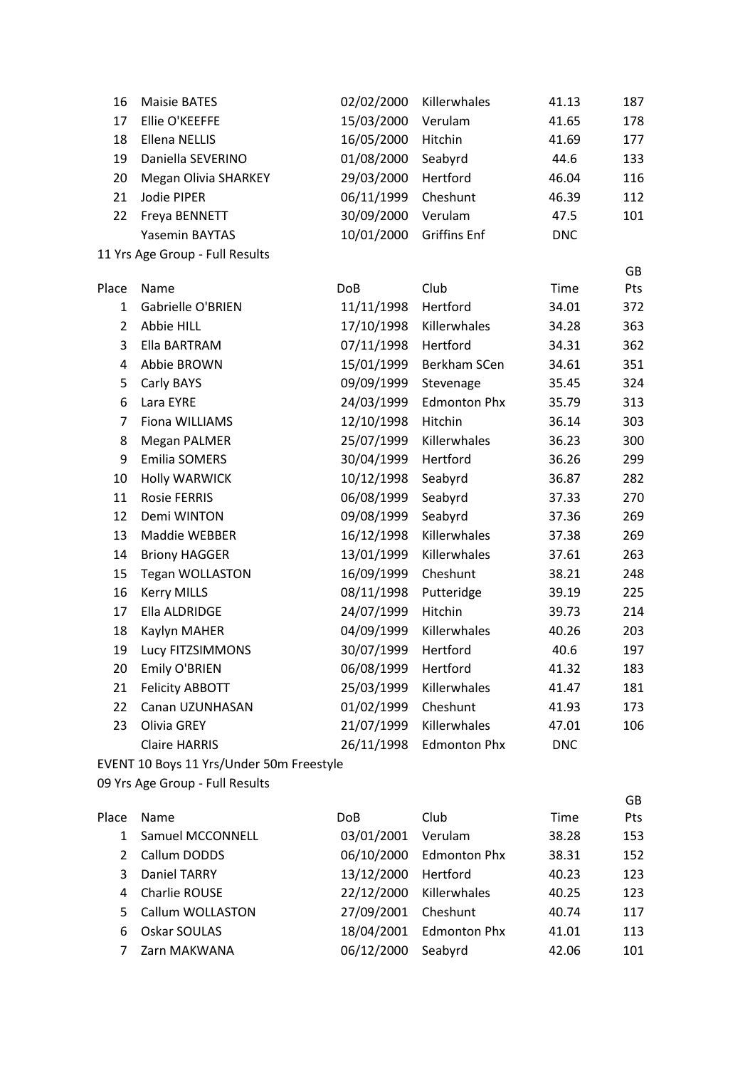| 16             | <b>Maisie BATES</b>                      | 02/02/2000 | Killerwhales        | 41.13      | 187       |
|----------------|------------------------------------------|------------|---------------------|------------|-----------|
| 17             | Ellie O'KEEFFE                           | 15/03/2000 | Verulam             | 41.65      | 178       |
| 18             | <b>Ellena NELLIS</b>                     | 16/05/2000 | Hitchin             | 41.69      | 177       |
| 19             | Daniella SEVERINO                        | 01/08/2000 | Seabyrd             | 44.6       | 133       |
| 20             | <b>Megan Olivia SHARKEY</b>              | 29/03/2000 | Hertford            | 46.04      | 116       |
| 21             | Jodie PIPER                              | 06/11/1999 | Cheshunt            | 46.39      | 112       |
| 22             | Freya BENNETT                            | 30/09/2000 | Verulam             | 47.5       | 101       |
|                | Yasemin BAYTAS                           | 10/01/2000 | <b>Griffins Enf</b> | <b>DNC</b> |           |
|                | 11 Yrs Age Group - Full Results          |            |                     |            |           |
| Place          | Name                                     | <b>DoB</b> | Club                | Time       | GB<br>Pts |
| 1              | Gabrielle O'BRIEN                        | 11/11/1998 | Hertford            | 34.01      | 372       |
| $\overline{2}$ | Abbie HILL                               | 17/10/1998 | Killerwhales        | 34.28      | 363       |
| 3              | Ella BARTRAM                             | 07/11/1998 | Hertford            | 34.31      | 362       |
| 4              | Abbie BROWN                              | 15/01/1999 | Berkham SCen        | 34.61      | 351       |
| 5              | Carly BAYS                               | 09/09/1999 | Stevenage           | 35.45      | 324       |
| 6              | Lara EYRE                                | 24/03/1999 | <b>Edmonton Phx</b> | 35.79      | 313       |
| 7              | Fiona WILLIAMS                           | 12/10/1998 | Hitchin             | 36.14      | 303       |
| 8              | <b>Megan PALMER</b>                      | 25/07/1999 | Killerwhales        | 36.23      | 300       |
| 9              | <b>Emilia SOMERS</b>                     | 30/04/1999 | Hertford            | 36.26      | 299       |
| 10             | <b>Holly WARWICK</b>                     | 10/12/1998 | Seabyrd             | 36.87      | 282       |
| 11             | <b>Rosie FERRIS</b>                      | 06/08/1999 | Seabyrd             | 37.33      | 270       |
| 12             | Demi WINTON                              | 09/08/1999 | Seabyrd             | 37.36      | 269       |
| 13             | Maddie WEBBER                            | 16/12/1998 | Killerwhales        | 37.38      | 269       |
| 14             | <b>Briony HAGGER</b>                     | 13/01/1999 | Killerwhales        | 37.61      | 263       |
| 15             | <b>Tegan WOLLASTON</b>                   | 16/09/1999 | Cheshunt            | 38.21      | 248       |
| 16             | <b>Kerry MILLS</b>                       | 08/11/1998 | Putteridge          | 39.19      | 225       |
| 17             | Ella ALDRIDGE                            | 24/07/1999 | Hitchin             | 39.73      | 214       |
| 18             | Kaylyn MAHER                             | 04/09/1999 | Killerwhales        | 40.26      | 203       |
| 19             | Lucy FITZSIMMONS                         | 30/07/1999 | Hertford            | 40.6       | 197       |
| 20             | Emily O'BRIEN                            | 06/08/1999 | Hertford            | 41.32      | 183       |
| 21             | <b>Felicity ABBOTT</b>                   | 25/03/1999 | Killerwhales        | 41.47      | 181       |
| 22             | Canan UZUNHASAN                          | 01/02/1999 | Cheshunt            | 41.93      | 173       |
| 23             | Olivia GREY                              | 21/07/1999 | Killerwhales        | 47.01      | 106       |
|                | <b>Claire HARRIS</b>                     | 26/11/1998 | <b>Edmonton Phx</b> | <b>DNC</b> |           |
|                | EVENT 10 Boys 11 Yrs/Under 50m Freestyle |            |                     |            |           |
|                | 09 Yrs Age Group - Full Results          |            |                     |            |           |
| Place          | Name                                     | <b>DoB</b> | Club                | Time       | GB<br>Pts |
| 1              | Samuel MCCONNELL                         | 03/01/2001 | Verulam             | 38.28      | 153       |
| 2              | Callum DODDS                             | 06/10/2000 | <b>Edmonton Phx</b> | 38.31      | 152       |
| 3              | Daniel TARRY                             | 13/12/2000 | Hertford            | 40.23      | 123       |
|                |                                          |            |                     |            |           |

| 4 Charlie ROUSE    | 22/12/2000 Killerwhales |                         | 40.25 | 123 |
|--------------------|-------------------------|-------------------------|-------|-----|
| 5 Callum WOLLASTON | 27/09/2001 Cheshunt     |                         | 40.74 | 117 |
| 6 Oskar SOULAS     |                         | 18/04/2001 Edmonton Phx | 41.01 | 113 |
| 7 Zarn MAKWANA     | 06/12/2000 Seabyrd      |                         | 42.06 | 101 |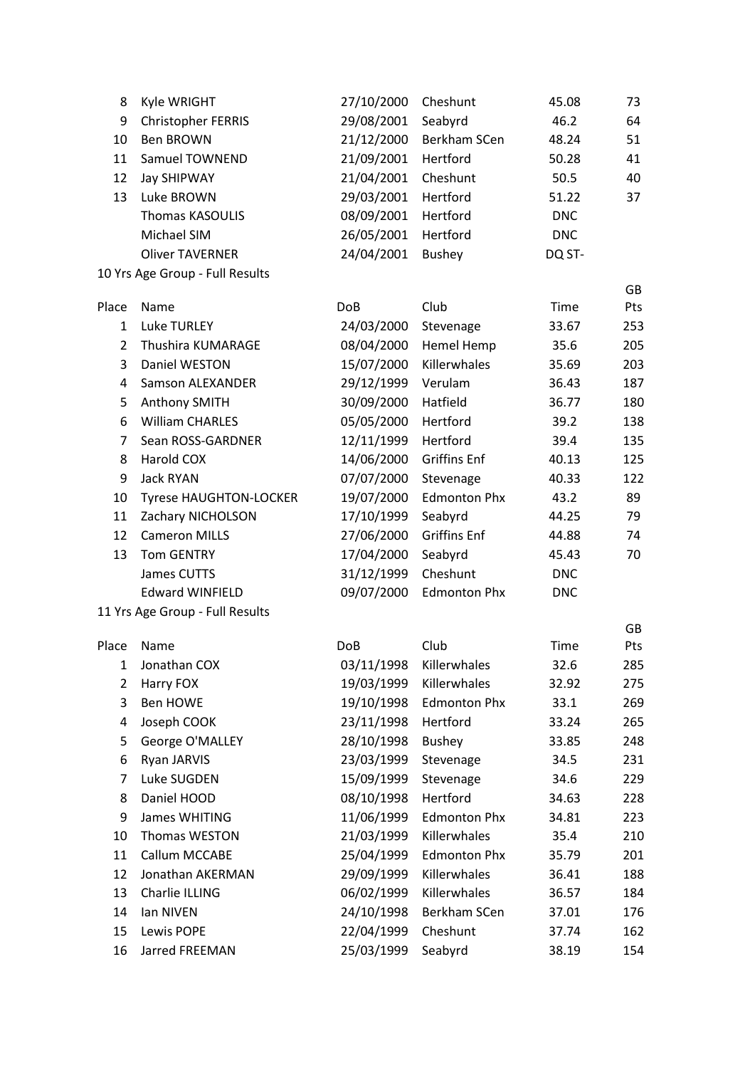| 8              | Kyle WRIGHT                     | 27/10/2000 | Cheshunt            | 45.08      | 73        |
|----------------|---------------------------------|------------|---------------------|------------|-----------|
| 9              | <b>Christopher FERRIS</b>       | 29/08/2001 | Seabyrd             | 46.2       | 64        |
| 10             | <b>Ben BROWN</b>                | 21/12/2000 | Berkham SCen        | 48.24      | 51        |
| 11             | <b>Samuel TOWNEND</b>           | 21/09/2001 | Hertford            | 50.28      | 41        |
| 12             | <b>Jay SHIPWAY</b>              | 21/04/2001 | Cheshunt            | 50.5       | 40        |
| 13             | Luke BROWN                      | 29/03/2001 | Hertford            | 51.22      | 37        |
|                | <b>Thomas KASOULIS</b>          | 08/09/2001 | Hertford            | <b>DNC</b> |           |
|                | Michael SIM                     | 26/05/2001 | Hertford            | <b>DNC</b> |           |
|                | <b>Oliver TAVERNER</b>          | 24/04/2001 | <b>Bushey</b>       | DQ ST-     |           |
|                | 10 Yrs Age Group - Full Results |            |                     |            |           |
| Place          | Name                            | <b>DoB</b> | Club                | Time       | GB<br>Pts |
| 1              | <b>Luke TURLEY</b>              | 24/03/2000 | Stevenage           | 33.67      | 253       |
| $\overline{2}$ | Thushira KUMARAGE               | 08/04/2000 | Hemel Hemp          | 35.6       | 205       |
| 3              | Daniel WESTON                   | 15/07/2000 | Killerwhales        | 35.69      | 203       |
| 4              | <b>Samson ALEXANDER</b>         | 29/12/1999 | Verulam             | 36.43      | 187       |
| 5              | Anthony SMITH                   | 30/09/2000 | Hatfield            | 36.77      | 180       |
| 6              | <b>William CHARLES</b>          | 05/05/2000 | Hertford            | 39.2       | 138       |
| 7              | Sean ROSS-GARDNER               | 12/11/1999 | Hertford            | 39.4       | 135       |
| 8              | Harold COX                      | 14/06/2000 | <b>Griffins Enf</b> | 40.13      | 125       |
| 9              | Jack RYAN                       | 07/07/2000 | Stevenage           | 40.33      | 122       |
| 10             | <b>Tyrese HAUGHTON-LOCKER</b>   | 19/07/2000 | <b>Edmonton Phx</b> | 43.2       | 89        |
| 11             | Zachary NICHOLSON               | 17/10/1999 | Seabyrd             | 44.25      | 79        |
| 12             | <b>Cameron MILLS</b>            | 27/06/2000 | <b>Griffins Enf</b> | 44.88      | 74        |
| 13             | <b>Tom GENTRY</b>               | 17/04/2000 | Seabyrd             | 45.43      | 70        |
|                | James CUTTS                     | 31/12/1999 | Cheshunt            | <b>DNC</b> |           |
|                | <b>Edward WINFIELD</b>          | 09/07/2000 | <b>Edmonton Phx</b> | <b>DNC</b> |           |
|                | 11 Yrs Age Group - Full Results |            |                     |            |           |
| Place          | Name                            | <b>DoB</b> | Club                | Time       | GB<br>Pts |
| 1              | Jonathan COX                    | 03/11/1998 | Killerwhales        | 32.6       | 285       |
| 2              | Harry FOX                       | 19/03/1999 | Killerwhales        | 32.92      | 275       |
| 3              | <b>Ben HOWE</b>                 | 19/10/1998 | <b>Edmonton Phx</b> | 33.1       | 269       |
| 4              | Joseph COOK                     | 23/11/1998 | Hertford            | 33.24      | 265       |
| 5              | George O'MALLEY                 | 28/10/1998 | <b>Bushey</b>       | 33.85      | 248       |
| 6              | Ryan JARVIS                     | 23/03/1999 | Stevenage           | 34.5       | 231       |
| 7              | Luke SUGDEN                     | 15/09/1999 | Stevenage           | 34.6       | 229       |
| 8              | Daniel HOOD                     | 08/10/1998 | Hertford            | 34.63      | 228       |
| 9              | James WHITING                   | 11/06/1999 | <b>Edmonton Phx</b> | 34.81      | 223       |
| 10             | Thomas WESTON                   | 21/03/1999 | Killerwhales        | 35.4       | 210       |
| 11             | Callum MCCABE                   | 25/04/1999 | <b>Edmonton Phx</b> | 35.79      | 201       |
| 12             | Jonathan AKERMAN                | 29/09/1999 | Killerwhales        | 36.41      | 188       |
| 13             | Charlie ILLING                  | 06/02/1999 | Killerwhales        | 36.57      | 184       |
| 14             | Ian NIVEN                       | 24/10/1998 | Berkham SCen        | 37.01      | 176       |
| 15             | Lewis POPE                      | 22/04/1999 | Cheshunt            | 37.74      | 162       |
| 16             | Jarred FREEMAN                  | 25/03/1999 | Seabyrd             | 38.19      | 154       |